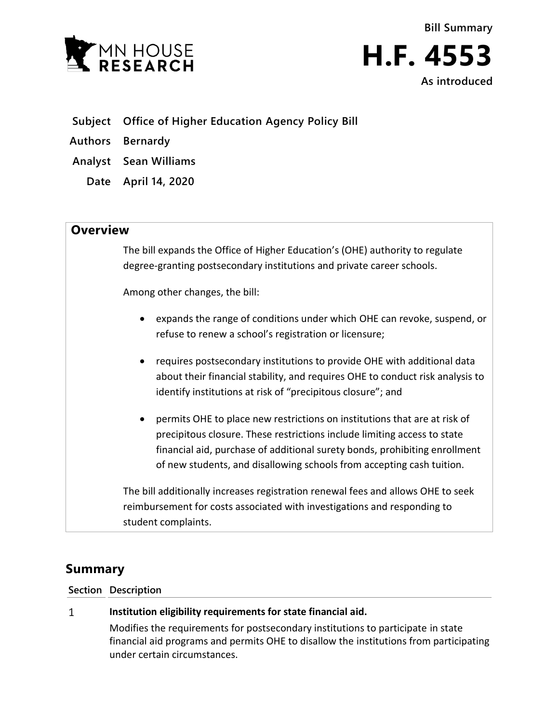

- **Subject Office of Higher Education Agency Policy Bill**
- **Authors Bernardy**
- **Analyst Sean Williams**
	- **Date April 14, 2020**

## **Overview**

The bill expands the Office of Higher Education's (OHE) authority to regulate degree-granting postsecondary institutions and private career schools.

Among other changes, the bill:

- expands the range of conditions under which OHE can revoke, suspend, or refuse to renew a school's registration or licensure;
- requires postsecondary institutions to provide OHE with additional data about their financial stability, and requires OHE to conduct risk analysis to identify institutions at risk of "precipitous closure"; and
- permits OHE to place new restrictions on institutions that are at risk of precipitous closure. These restrictions include limiting access to state financial aid, purchase of additional surety bonds, prohibiting enrollment of new students, and disallowing schools from accepting cash tuition.

The bill additionally increases registration renewal fees and allows OHE to seek reimbursement for costs associated with investigations and responding to student complaints.

# **Summary**

### **Section Description**

### $\mathbf{1}$ **Institution eligibility requirements for state financial aid.**

Modifies the requirements for postsecondary institutions to participate in state financial aid programs and permits OHE to disallow the institutions from participating under certain circumstances.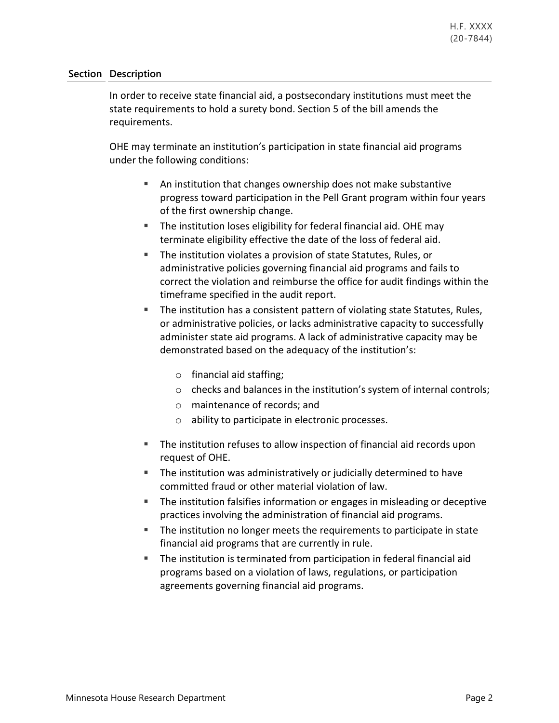In order to receive state financial aid, a postsecondary institutions must meet the state requirements to hold a surety bond. Section 5 of the bill amends the requirements.

OHE may terminate an institution's participation in state financial aid programs under the following conditions:

- An institution that changes ownership does not make substantive progress toward participation in the Pell Grant program within four years of the first ownership change.
- The institution loses eligibility for federal financial aid. OHE may terminate eligibility effective the date of the loss of federal aid.
- The institution violates a provision of state Statutes, Rules, or administrative policies governing financial aid programs and fails to correct the violation and reimburse the office for audit findings within the timeframe specified in the audit report.
- The institution has a consistent pattern of violating state Statutes, Rules, or administrative policies, or lacks administrative capacity to successfully administer state aid programs. A lack of administrative capacity may be demonstrated based on the adequacy of the institution's:
	- o financial aid staffing;
	- o checks and balances in the institution's system of internal controls;
	- o maintenance of records; and
	- o ability to participate in electronic processes.
- The institution refuses to allow inspection of financial aid records upon request of OHE.
- The institution was administratively or judicially determined to have committed fraud or other material violation of law.
- **The institution falsifies information or engages in misleading or deceptive** practices involving the administration of financial aid programs.
- The institution no longer meets the requirements to participate in state financial aid programs that are currently in rule.
- The institution is terminated from participation in federal financial aid programs based on a violation of laws, regulations, or participation agreements governing financial aid programs.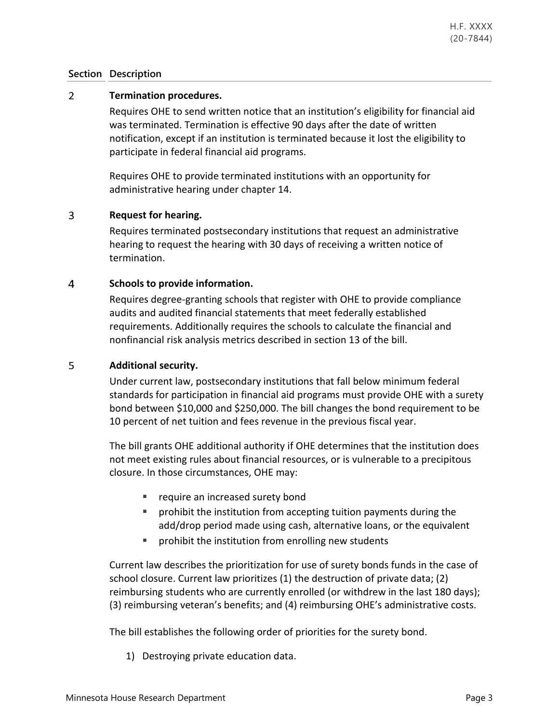#### $\overline{2}$ **Termination procedures.**

Requires OHE to send written notice that an institution's eligibility for financial aid was terminated. Termination is effective 90 days after the date of written notification, except if an institution is terminated because it lost the eligibility to participate in federal financial aid programs.

Requires OHE to provide terminated institutions with an opportunity for administrative hearing under chapter 14.

#### 3 **Request for hearing.**

Requires terminated postsecondary institutions that request an administrative hearing to request the hearing with 30 days of receiving a written notice of termination.

### **Schools to provide information.**  $\overline{4}$

Requires degree-granting schools that register with OHE to provide compliance audits and audited financial statements that meet federally established requirements. Additionally requires the schools to calculate the financial and nonfinancial risk analysis metrics described in section 13 of the bill.

#### 5 **Additional security.**

Under current law, postsecondary institutions that fall below minimum federal standards for participation in financial aid programs must provide OHE with a surety bond between \$10,000 and \$250,000. The bill changes the bond requirement to be 10 percent of net tuition and fees revenue in the previous fiscal year.

The bill grants OHE additional authority if OHE determines that the institution does not meet existing rules about financial resources, or is vulnerable to a precipitous closure. In those circumstances, OHE may:

- **require an increased surety bond**
- **PED 10** prohibit the institution from accepting tuition payments during the add/drop period made using cash, alternative loans, or the equivalent
- **PED FIGHT INTERS I** prohibit the institution from enrolling new students

Current law describes the prioritization for use of surety bonds funds in the case of school closure. Current law prioritizes (1) the destruction of private data; (2) reimbursing students who are currently enrolled (or withdrew in the last 180 days); (3) reimbursing veteran's benefits; and (4) reimbursing OHE's administrative costs.

The bill establishes the following order of priorities for the surety bond.

1) Destroying private education data.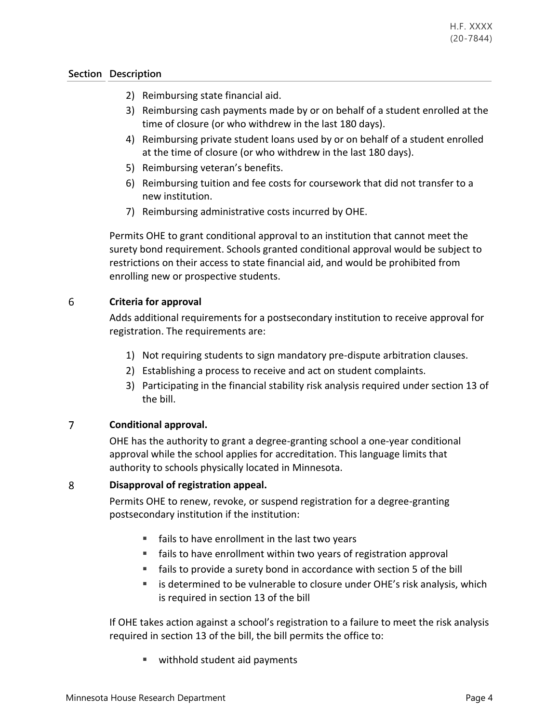- 2) Reimbursing state financial aid.
- 3) Reimbursing cash payments made by or on behalf of a student enrolled at the time of closure (or who withdrew in the last 180 days).
- 4) Reimbursing private student loans used by or on behalf of a student enrolled at the time of closure (or who withdrew in the last 180 days).
- 5) Reimbursing veteran's benefits.
- 6) Reimbursing tuition and fee costs for coursework that did not transfer to a new institution.
- 7) Reimbursing administrative costs incurred by OHE.

Permits OHE to grant conditional approval to an institution that cannot meet the surety bond requirement. Schools granted conditional approval would be subject to restrictions on their access to state financial aid, and would be prohibited from enrolling new or prospective students.

### 6 **Criteria for approval**

Adds additional requirements for a postsecondary institution to receive approval for registration. The requirements are:

- 1) Not requiring students to sign mandatory pre-dispute arbitration clauses.
- 2) Establishing a process to receive and act on student complaints.
- 3) Participating in the financial stability risk analysis required under section 13 of the bill.

### $\overline{7}$ **Conditional approval.**

OHE has the authority to grant a degree-granting school a one-year conditional approval while the school applies for accreditation. This language limits that authority to schools physically located in Minnesota.

#### 8 **Disapproval of registration appeal.**

Permits OHE to renew, revoke, or suspend registration for a degree-granting postsecondary institution if the institution:

- **fails to have enrollment in the last two years**
- fails to have enrollment within two years of registration approval
- fails to provide a surety bond in accordance with section 5 of the bill
- **EXECT** is determined to be vulnerable to closure under OHE's risk analysis, which is required in section 13 of the bill

If OHE takes action against a school's registration to a failure to meet the risk analysis required in section 13 of the bill, the bill permits the office to:

■ withhold student aid payments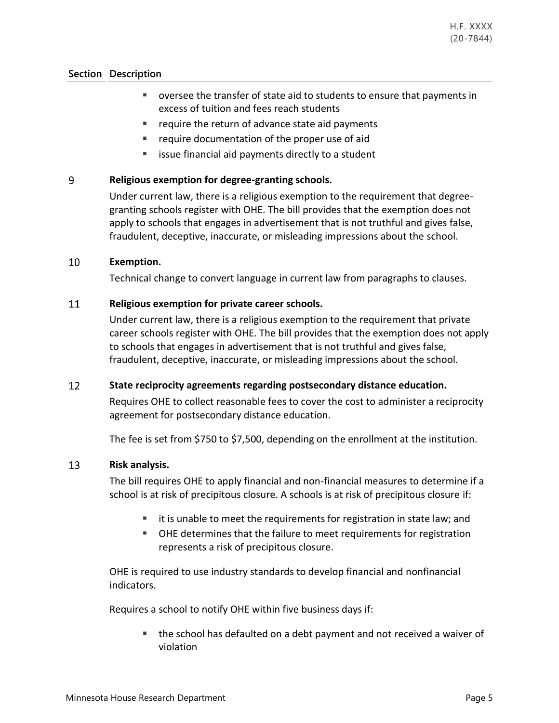- oversee the transfer of state aid to students to ensure that payments in excess of tuition and fees reach students
- require the return of advance state aid payments
- **F** require documentation of the proper use of aid
- issue financial aid payments directly to a student

### 9 **Religious exemption for degree-granting schools.**

Under current law, there is a religious exemption to the requirement that degreegranting schools register with OHE. The bill provides that the exemption does not apply to schools that engages in advertisement that is not truthful and gives false, fraudulent, deceptive, inaccurate, or misleading impressions about the school.

### 10 **Exemption.**

Technical change to convert language in current law from paragraphs to clauses.

### 11 **Religious exemption for private career schools.**

Under current law, there is a religious exemption to the requirement that private career schools register with OHE. The bill provides that the exemption does not apply to schools that engages in advertisement that is not truthful and gives false, fraudulent, deceptive, inaccurate, or misleading impressions about the school.

#### 12 **State reciprocity agreements regarding postsecondary distance education.**

Requires OHE to collect reasonable fees to cover the cost to administer a reciprocity agreement for postsecondary distance education.

The fee is set from \$750 to \$7,500, depending on the enrollment at the institution.

#### 13 **Risk analysis.**

The bill requires OHE to apply financial and non-financial measures to determine if a school is at risk of precipitous closure. A schools is at risk of precipitous closure if:

- it is unable to meet the requirements for registration in state law; and
- OHE determines that the failure to meet requirements for registration represents a risk of precipitous closure.

OHE is required to use industry standards to develop financial and nonfinancial indicators.

Requires a school to notify OHE within five business days if:

 the school has defaulted on a debt payment and not received a waiver of violation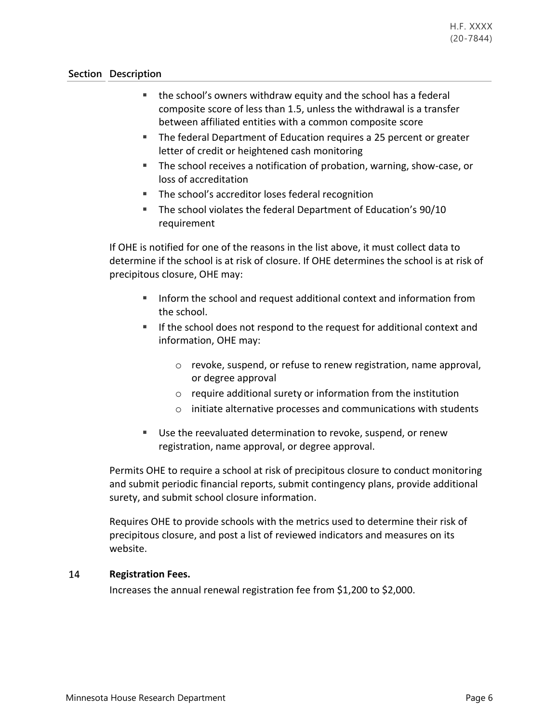- the school's owners withdraw equity and the school has a federal composite score of less than 1.5, unless the withdrawal is a transfer between affiliated entities with a common composite score
- **The federal Department of Education requires a 25 percent or greater** letter of credit or heightened cash monitoring
- The school receives a notification of probation, warning, show-case, or loss of accreditation
- The school's accreditor loses federal recognition
- **The school violates the federal Department of Education's 90/10** requirement

If OHE is notified for one of the reasons in the list above, it must collect data to determine if the school is at risk of closure. If OHE determines the school is at risk of precipitous closure, OHE may:

- Inform the school and request additional context and information from the school.
- If the school does not respond to the request for additional context and information, OHE may:
	- o revoke, suspend, or refuse to renew registration, name approval, or degree approval
	- o require additional surety or information from the institution
	- o initiate alternative processes and communications with students
- Use the reevaluated determination to revoke, suspend, or renew registration, name approval, or degree approval.

Permits OHE to require a school at risk of precipitous closure to conduct monitoring and submit periodic financial reports, submit contingency plans, provide additional surety, and submit school closure information.

Requires OHE to provide schools with the metrics used to determine their risk of precipitous closure, and post a list of reviewed indicators and measures on its website.

### 14 **Registration Fees.**

Increases the annual renewal registration fee from \$1,200 to \$2,000.